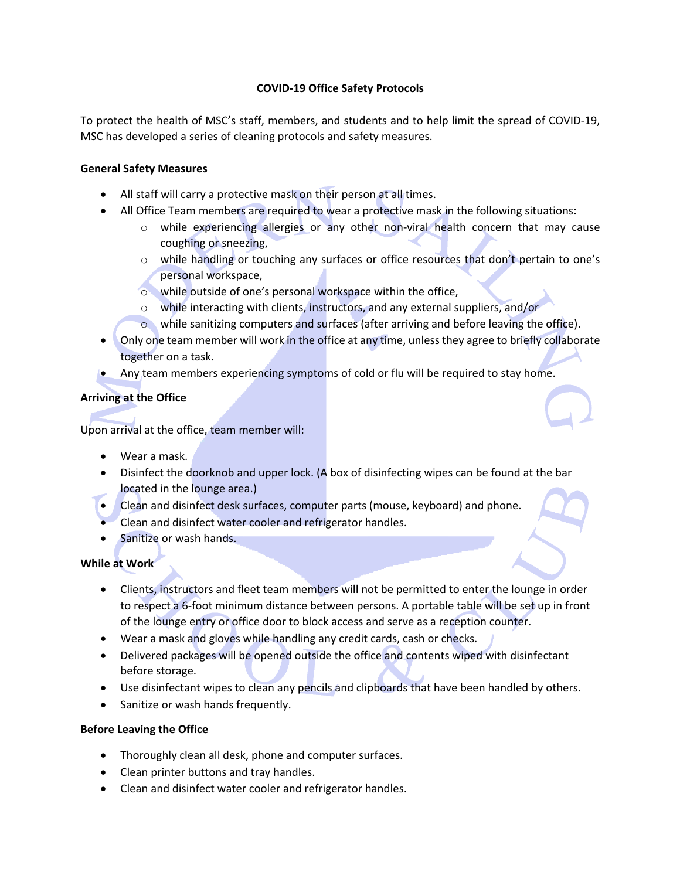# **COVID-19 Office Safety Protocols**

To protect the health of MSC's staff, members, and students and to help limit the spread of COVID-19, MSC has developed a series of cleaning protocols and safety measures.

## **General Safety Measures**

- All staff will carry a protective mask on their person at all times.
- All Office Team members are required to wear a protective mask in the following situations:
	- o while experiencing allergies or any other non-viral health concern that may cause coughing or sneezing,
	- o while handling or touching any surfaces or office resources that don't pertain to one's personal workspace,
	- o while outside of one's personal workspace within the office,
	- o while interacting with clients, instructors, and any external suppliers, and/or
	- o while sanitizing computers and surfaces (after arriving and before leaving the office).
- Only one team member will work in the office at any time, unless they agree to briefly collaborate together on a task.
- Any team members experiencing symptoms of cold or flu will be required to stay home.

# **Arriving at the Office**

Upon arrival at the office, team member will:

- Wear a mask.
- Disinfect the doorknob and upper lock. (A box of disinfecting wipes can be found at the bar located in the lounge area.)
- Clean and disinfect desk surfaces, computer parts (mouse, keyboard) and phone.
- Clean and disinfect water cooler and refrigerator handles.
- Sanitize or wash hands.

### **While at Work**

- Clients, instructors and fleet team members will not be permitted to enter the lounge in order to respect a 6-foot minimum distance between persons. A portable table will be set up in front of the lounge entry or office door to block access and serve as a reception counter.
- Wear a mask and gloves while handling any credit cards, cash or checks.
- Delivered packages will be opened outside the office and contents wiped with disinfectant before storage.
- Use disinfectant wipes to clean any pencils and clipboards that have been handled by others.
- Sanitize or wash hands frequently.

### **Before Leaving the Office**

- Thoroughly clean all desk, phone and computer surfaces.
- Clean printer buttons and tray handles.
- Clean and disinfect water cooler and refrigerator handles.